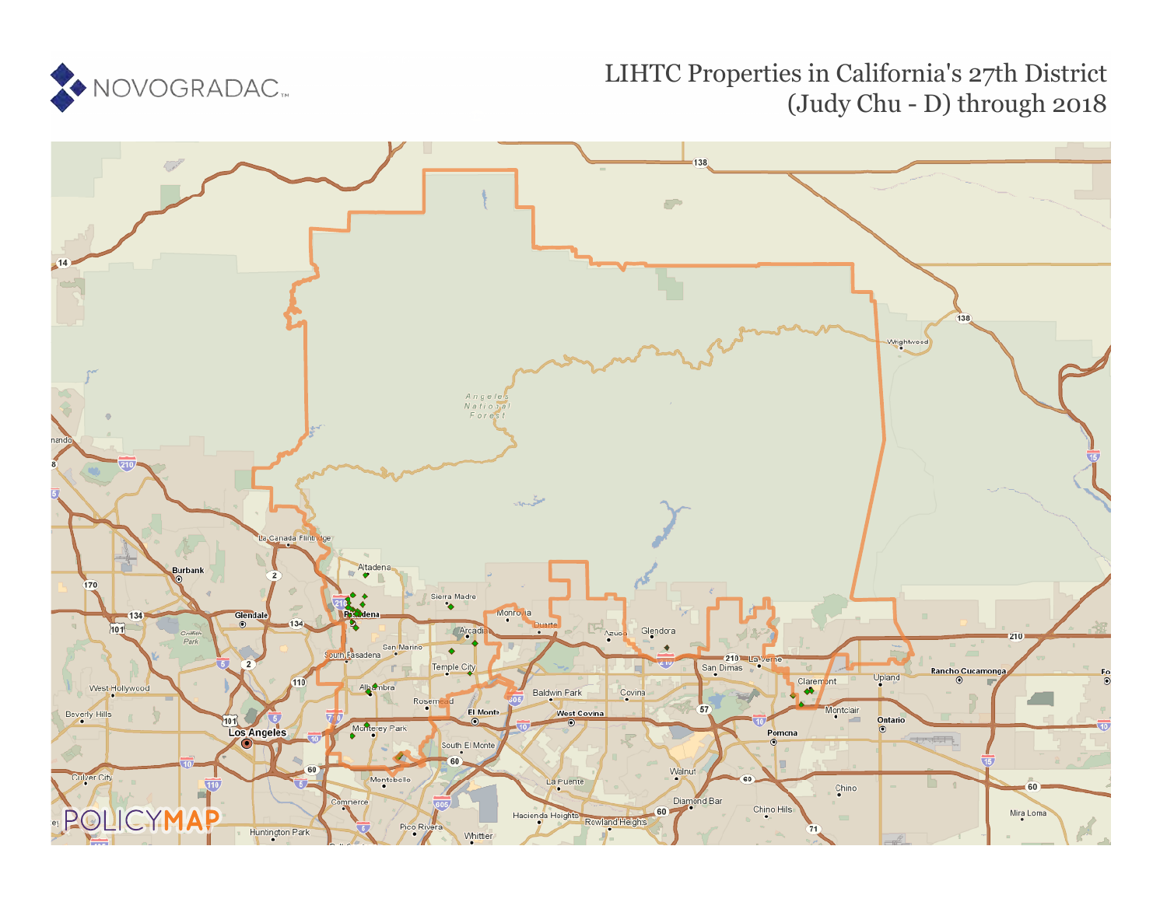

## LIHTC Properties in California's 27th District (Judy Chu - D) through 2018

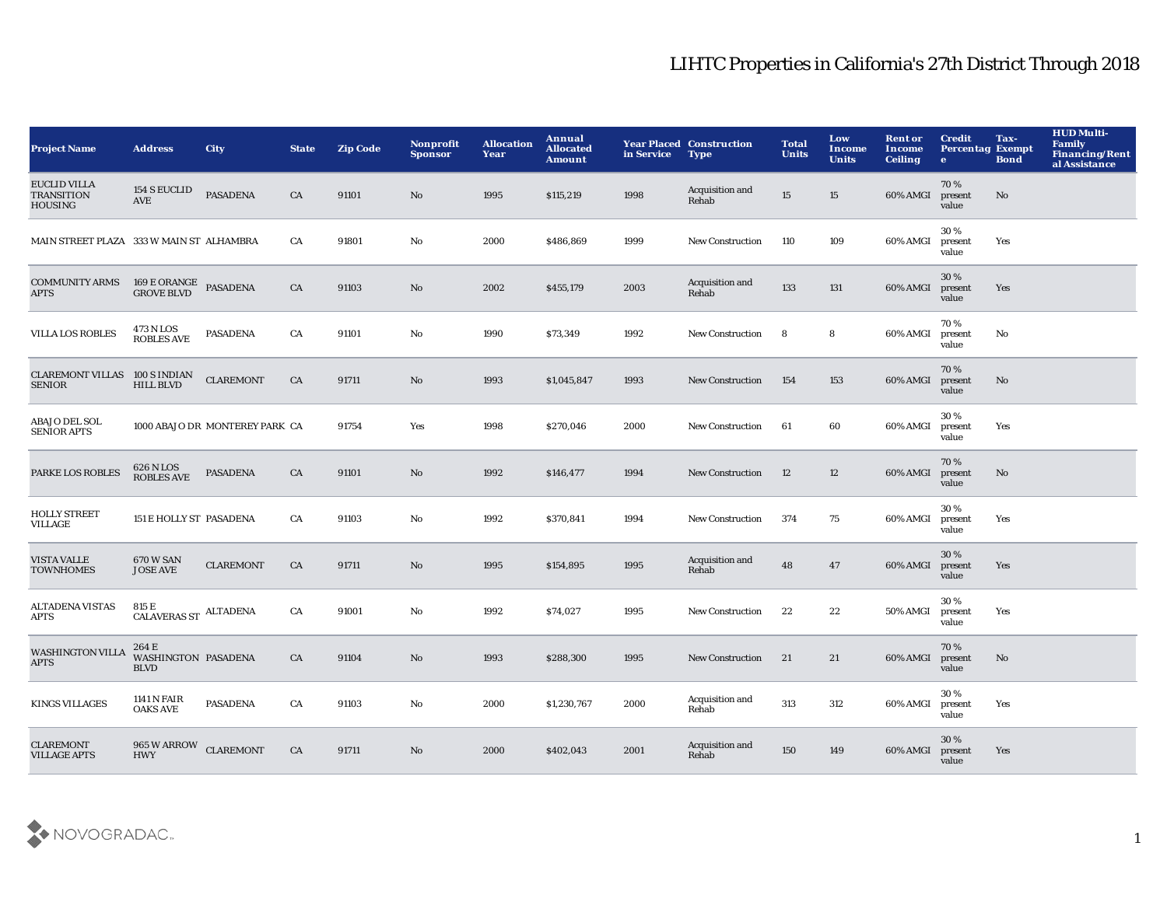## LIHTC Properties in California's 27th District Through 2018

| <b>Project Name</b>                                        | <b>Address</b>                                  | <b>City</b>                    | <b>State</b> | <b>Zip Code</b> | <b>Nonprofit</b><br><b>Sponsor</b> | <b>Allocation</b><br>Year | Annual<br><b>Allocated</b><br><b>Amount</b> | in Service | <b>Year Placed Construction</b><br><b>Type</b> | <b>Total</b><br><b>Units</b> | Low<br>Income<br><b>Units</b> | <b>Rent or</b><br>Income<br><b>Ceiling</b> | <b>Credit</b><br><b>Percentag Exempt</b><br>$\bullet$ | Tax-<br><b>Bond</b> | <b>HUD Multi-</b><br>Family<br><b>Financing/Rent</b><br>al Assistance |
|------------------------------------------------------------|-------------------------------------------------|--------------------------------|--------------|-----------------|------------------------------------|---------------------------|---------------------------------------------|------------|------------------------------------------------|------------------------------|-------------------------------|--------------------------------------------|-------------------------------------------------------|---------------------|-----------------------------------------------------------------------|
| <b>EUCLID VILLA</b><br><b>TRANSITION</b><br><b>HOUSING</b> | <b>154 S EUCLID</b><br>AVE                      | <b>PASADENA</b>                | CA           | 91101           | No                                 | 1995                      | \$115,219                                   | 1998       | Acquisition and<br>Rehab                       | $15\,$                       | 15                            | 60% AMGI                                   | 70%<br>present<br>value                               | No                  |                                                                       |
| MAIN STREET PLAZA 333 W MAIN ST ALHAMBRA                   |                                                 |                                | CA           | 91801           | $\mathbf {No}$                     | 2000                      | \$486,869                                   | 1999       | New Construction                               | 110                          | 109                           | 60% AMGI                                   | 30%<br>present<br>value                               | Yes                 |                                                                       |
| <b>COMMUNITY ARMS</b><br><b>APTS</b>                       | $169\,\,E$ ORANGE<br>$\,$ PASADENA GROVE BLVD   |                                | CA           | 91103           | No                                 | 2002                      | \$455,179                                   | 2003       | Acquisition and<br>Rehab                       | 133                          | 131                           | 60% AMGI                                   | 30%<br>present<br>value                               | Yes                 |                                                                       |
| VILLA LOS ROBLES                                           | 473 N LOS<br><b>ROBLES AVE</b>                  | <b>PASADENA</b>                | CA           | 91101           | No                                 | 1990                      | \$73,349                                    | 1992       | <b>New Construction</b>                        | 8                            | 8                             | 60% AMGI                                   | 70%<br>present<br>value                               | No                  |                                                                       |
| <b>CLAREMONT VILLAS</b><br><b>SENIOR</b>                   | 100 S INDIAN<br><b>HILL BLVD</b>                | <b>CLAREMONT</b>               | CA           | 91711           | No                                 | 1993                      | \$1,045,847                                 | 1993       | <b>New Construction</b>                        | 154                          | 153                           | 60% AMGI                                   | 70%<br>present<br>value                               | No                  |                                                                       |
| <b>ABAJO DEL SOL</b><br><b>SENIOR APTS</b>                 |                                                 | 1000 ABAJO DR MONTEREY PARK CA |              | 91754           | Yes                                | 1998                      | \$270,046                                   | 2000       | New Construction                               | 61                           | 60                            | 60% AMGI                                   | 30%<br>present<br>value                               | Yes                 |                                                                       |
| PARKE LOS ROBLES                                           | 626 N LOS<br><b>ROBLES AVE</b>                  | <b>PASADENA</b>                | CA           | 91101           | No                                 | 1992                      | \$146,477                                   | 1994       | <b>New Construction</b>                        | 12                           | 12                            | 60% AMGI                                   | 70%<br>present<br>value                               | No                  |                                                                       |
| <b>HOLLY STREET</b><br><b>VILLAGE</b>                      | 151 E HOLLY ST PASADENA                         |                                | CA           | 91103           | No                                 | 1992                      | \$370,841                                   | 1994       | <b>New Construction</b>                        | 374                          | 75                            | 60% AMGI                                   | 30%<br>present<br>value                               | Yes                 |                                                                       |
| <b>VISTA VALLE</b><br><b>TOWNHOMES</b>                     | 670 W SAN<br><b>JOSE AVE</b>                    | <b>CLAREMONT</b>               | CA           | 91711           | No                                 | 1995                      | \$154,895                                   | 1995       | Acquisition and<br>Rehab                       | 48                           | 47                            | 60% AMGI                                   | 30%<br>present<br>value                               | Yes                 |                                                                       |
| <b>ALTADENA VISTAS</b><br><b>APTS</b>                      | 815 E<br>CALAVERAS ${\rm ST}^{-{\rm ALTADENA}}$ |                                | CA           | 91001           | $\mathbf{No}$                      | 1992                      | \$74,027                                    | 1995       | <b>New Construction</b>                        | 22                           | 22                            | 50% AMGI                                   | 30%<br>present<br>value                               | Yes                 |                                                                       |
| <b>WASHINGTON VILLA</b><br><b>APTS</b>                     | 264 E<br>WASHINGTON PASADENA<br><b>BLVD</b>     |                                | CA           | 91104           | No                                 | 1993                      | \$288,300                                   | 1995       | <b>New Construction</b>                        | 21                           | 21                            | 60% AMGI                                   | 70%<br>present<br>value                               | $\mathbf{No}$       |                                                                       |
| <b>KINGS VILLAGES</b>                                      | <b>1141 N FAIR</b><br><b>OAKS AVE</b>           | <b>PASADENA</b>                | CA           | 91103           | No                                 | 2000                      | \$1,230,767                                 | 2000       | Acquisition and<br>Rehab                       | 313                          | 312                           | 60% AMGI                                   | 30%<br>present<br>value                               | Yes                 |                                                                       |
| <b>CLAREMONT</b><br><b>VILLAGE APTS</b>                    | 965 W ARROW<br><b>HWY</b>                       | <b>CLAREMONT</b>               | CA           | 91711           | N <sub>o</sub>                     | 2000                      | \$402,043                                   | 2001       | Acquisition and<br>Rehab                       | 150                          | 149                           | 60% AMGI                                   | 30 %<br>present<br>value                              | Yes                 |                                                                       |

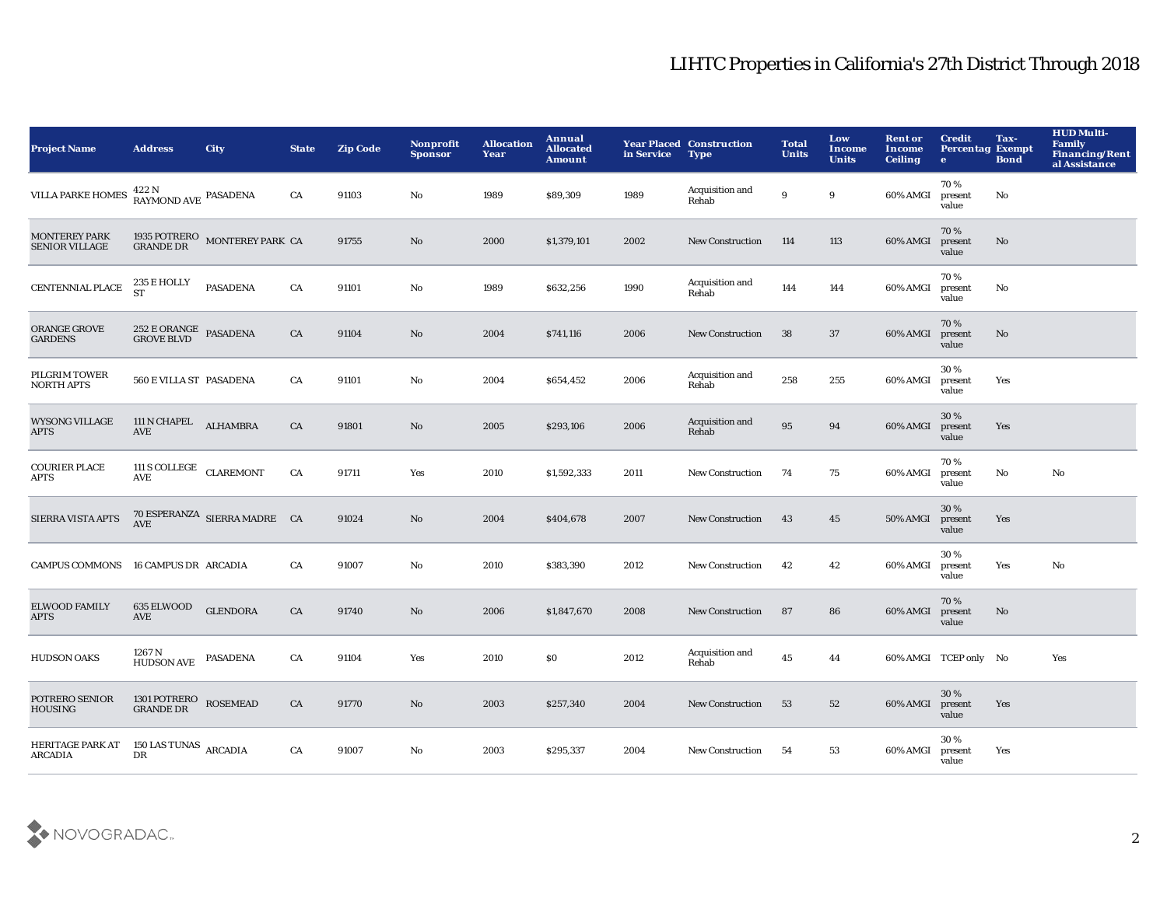## LIHTC Properties in California's 27th District Through 2018

| <b>Project Name</b>                           | <b>Address</b>                                                                                  | <b>City</b>                                       | <b>State</b> | <b>Zip Code</b> | <b>Nonprofit</b><br><b>Sponsor</b> | <b>Allocation</b><br>Year | Annual<br><b>Allocated</b><br><b>Amount</b> | in Service | <b>Year Placed Construction</b><br><b>Type</b> | <b>Total</b><br><b>Units</b> | Low<br>Income<br><b>Units</b> | <b>Rent or</b><br>Income<br><b>Ceiling</b> | <b>Credit</b><br><b>Percentag Exempt</b><br>$\bullet$ | Tax-<br><b>Bond</b> | <b>HUD Multi-</b><br>Family<br>Financing/Rent<br>al Assistance |
|-----------------------------------------------|-------------------------------------------------------------------------------------------------|---------------------------------------------------|--------------|-----------------|------------------------------------|---------------------------|---------------------------------------------|------------|------------------------------------------------|------------------------------|-------------------------------|--------------------------------------------|-------------------------------------------------------|---------------------|----------------------------------------------------------------|
| <b>VILLA PARKE HOMES</b>                      | 422 N<br>RAYMOND AVE PASADENA                                                                   |                                                   | CA           | 91103           | No                                 | 1989                      | \$89,309                                    | 1989       | Acquisition and<br>Rehab                       | $\boldsymbol{9}$             | $\boldsymbol{9}$              | 60% AMGI                                   | 70%<br>present<br>value                               | No                  |                                                                |
| <b>MONTEREY PARK</b><br><b>SENIOR VILLAGE</b> |                                                                                                 | 1935 POTRERO $\,$ MONTEREY PARK $\,$ CA GRANDE DR |              | 91755           | $\mathbf{No}$                      | 2000                      | \$1,379,101                                 | 2002       | <b>New Construction</b>                        | 114                          | 113                           | 60% AMGI                                   | 70%<br>present<br>value                               | No                  |                                                                |
| CENTENNIAL PLACE                              | 235 E HOLLY<br>ST                                                                               | <b>PASADENA</b>                                   | CA           | 91101           | $\mathbf {No}$                     | 1989                      | \$632,256                                   | 1990       | Acquisition and<br>Rehab                       | 144                          | 144                           | 60% AMGI                                   | 70%<br>present<br>value                               | No                  |                                                                |
| <b>ORANGE GROVE</b><br><b>GARDENS</b>         | $252$ E ORANGE PASADENA GROVE BLVD                                                              |                                                   | CA           | 91104           | No                                 | 2004                      | \$741,116                                   | 2006       | <b>New Construction</b>                        | 38                           | 37                            | 60% AMGI                                   | 70%<br>present<br>value                               | No                  |                                                                |
| PILGRIM TOWER<br><b>NORTH APTS</b>            | 560 E VILLA ST PASADENA                                                                         |                                                   | CA           | 91101           | No                                 | 2004                      | \$654,452                                   | 2006       | Acquisition and<br>Rehab                       | 258                          | 255                           | 60% AMGI                                   | 30%<br>present<br>value                               | Yes                 |                                                                |
| <b>WYSONG VILLAGE</b><br><b>APTS</b>          | 111 N CHAPEL<br>AVE                                                                             | <b>ALHAMBRA</b>                                   | CA           | 91801           | No                                 | 2005                      | \$293,106                                   | 2006       | Acquisition and<br>Rehab                       | 95                           | 94                            | 60% AMGI                                   | 30%<br>present<br>value                               | Yes                 |                                                                |
| <b>COURIER PLACE</b><br>APTS                  | 111 S COLLEGE CLAREMONT<br><b>AVE</b>                                                           |                                                   | CA           | 91711           | Yes                                | 2010                      | \$1,592,333                                 | 2011       | <b>New Construction</b>                        | 74                           | 75                            | 60% AMGI                                   | 70%<br>present<br>value                               | No                  | No                                                             |
| SIERRA VISTA APTS                             |                                                                                                 | $70$ ESPERANZA $\,$ SIERRA MADRE $\,$ CA $\,$ AVE |              | 91024           | $\mathbf{No}$                      | 2004                      | \$404,678                                   | 2007       | <b>New Construction</b>                        | 43                           | 45                            | 50% AMGI                                   | 30%<br>present<br>value                               | Yes                 |                                                                |
| <b>CAMPUS COMMONS</b>                         | 16 CAMPUS DR ARCADIA                                                                            |                                                   | CA           | 91007           | No                                 | 2010                      | \$383,390                                   | 2012       | <b>New Construction</b>                        | 42                           | 42                            | 60% AMGI                                   | 30%<br>present<br>value                               | Yes                 | No                                                             |
| <b>ELWOOD FAMILY</b><br>APTS                  | 635 ELWOOD<br><b>AVE</b>                                                                        | <b>GLENDORA</b>                                   | CA           | 91740           | No                                 | 2006                      | \$1,847,670                                 | 2008       | New Construction                               | 87                           | 86                            | 60% AMGI                                   | 70%<br>present<br>value                               | $\mathbf{No}$       |                                                                |
| <b>HUDSON OAKS</b>                            | 1267 N<br>${\tt HUDSON}$ ${\tt AVE}$                                                            | <b>PASADENA</b>                                   | CA           | 91104           | Yes                                | 2010                      | \$0                                         | 2012       | Acquisition and<br>Rehab                       | $\bf 45$                     | 44                            |                                            | 60% AMGI TCEP only No                                 |                     | Yes                                                            |
| POTRERO SENIOR<br><b>HOUSING</b>              | $\begin{array}{lll} 1301 \, \text{POTRERO} & \text{ROSEMEAD} \\ \text{GRANDE DR} & \end{array}$ |                                                   | CA           | 91770           | No                                 | 2003                      | \$257,340                                   | 2004       | <b>New Construction</b>                        | 53                           | 52                            | 60% AMGI                                   | 30%<br>present<br>value                               | Yes                 |                                                                |
| HERITAGE PARK AT<br>ARCADIA                   | 150 LAS TUNAS ARCADIA<br>DR                                                                     |                                                   | CA           | 91007           | No                                 | 2003                      | \$295,337                                   | 2004       | <b>New Construction</b>                        | 54                           | 53                            | 60% AMGI                                   | 30%<br>present<br>value                               | Yes                 |                                                                |